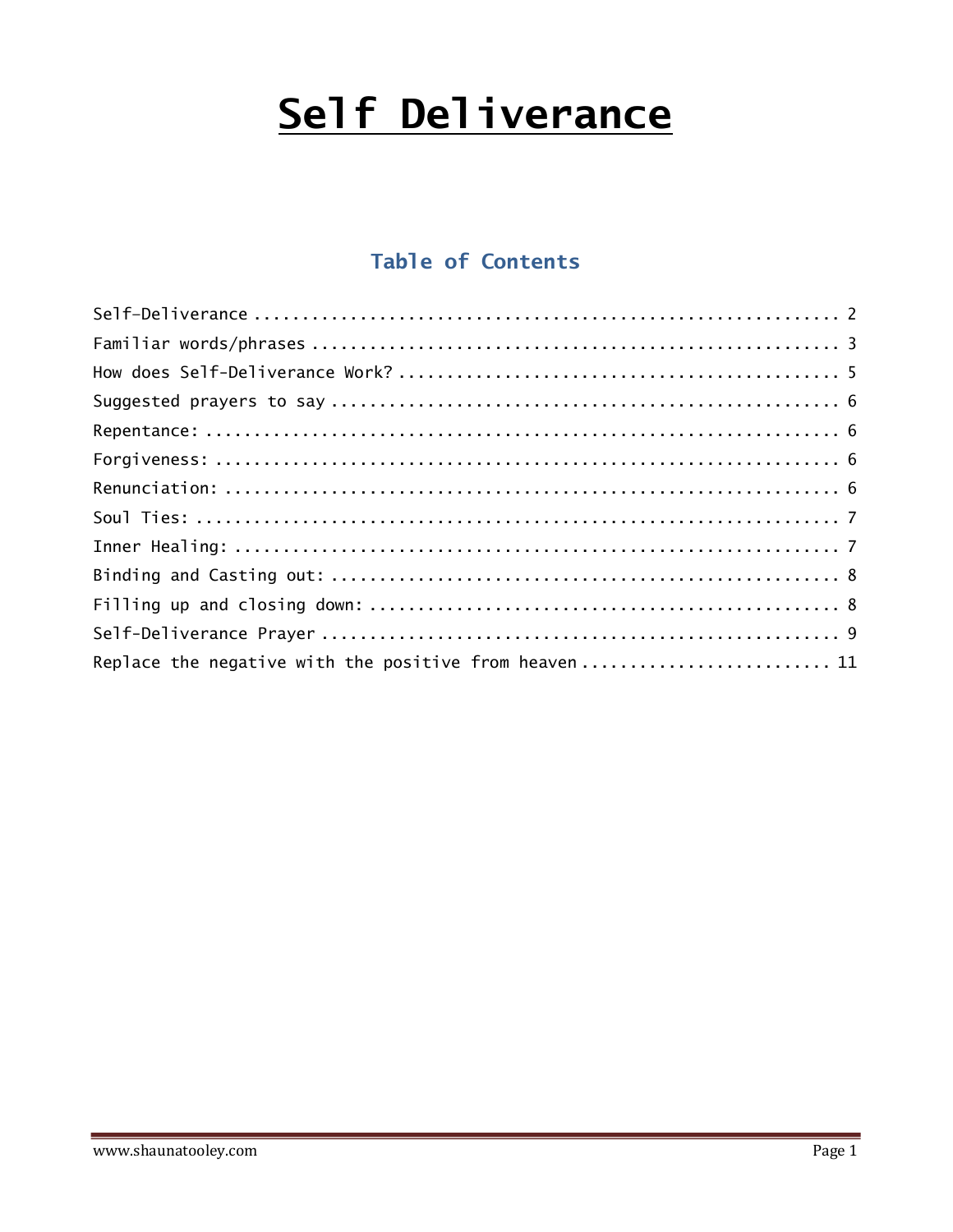# Self Deliverance

## **Table of Contents**

| Replace the negative with the positive from heaven 11 |
|-------------------------------------------------------|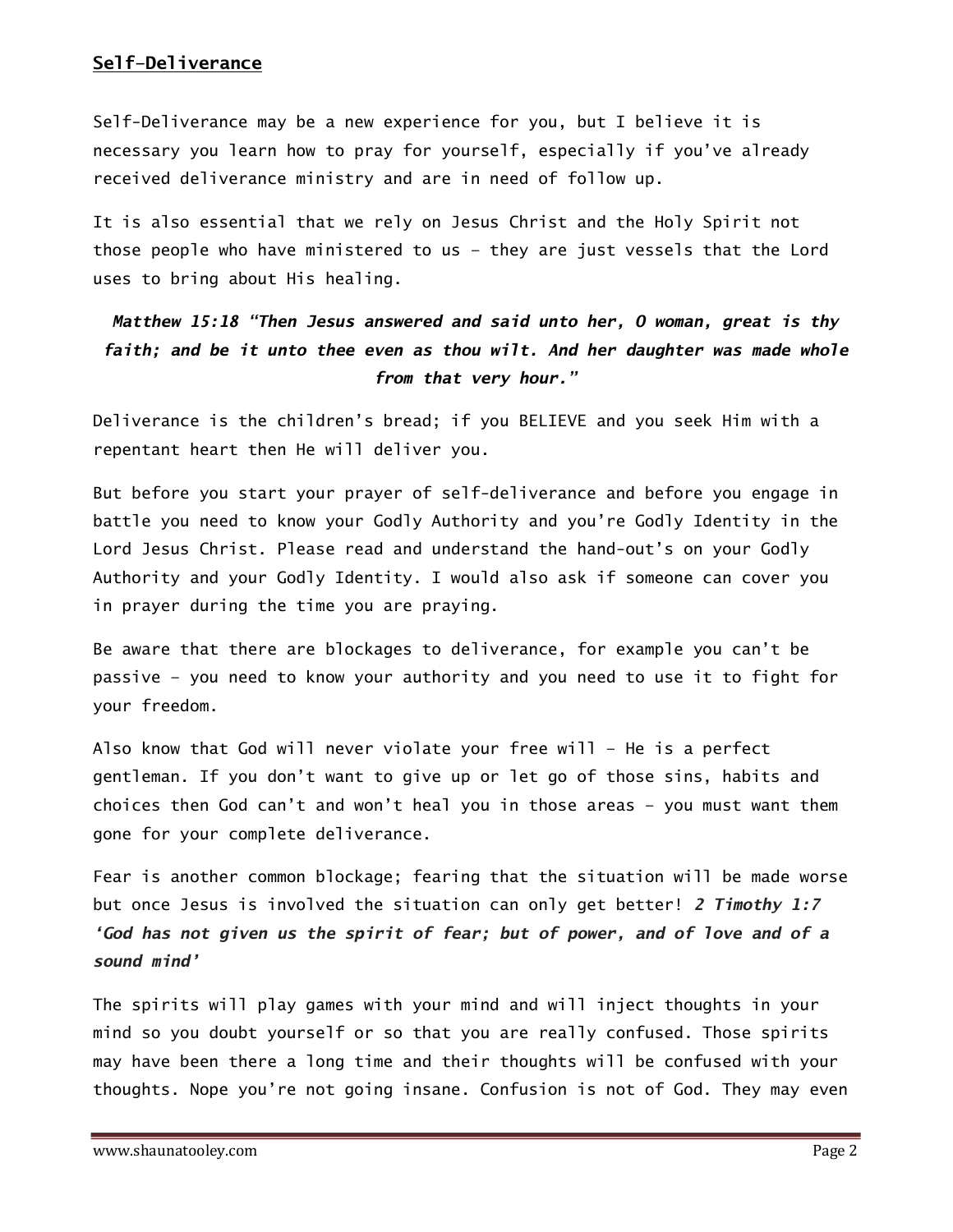#### Self-Deliverance

Self-Deliverance may be a new experience for you, but I believe it is necessary you learn how to pray for yourself, especially if you've already received deliverance ministry and are in need of follow up.

It is also essential that we rely on Jesus Christ and the Holy Spirit not those people who have ministered to us – they are just vessels that the Lord uses to bring about His healing.

### Matthew 15:18 "Then Jesus answered and said unto her, O woman, great is thy faith; and be it unto thee even as thou wilt. And her daughter was made whole from that very hour."

Deliverance is the children's bread; if you BELIEVE and you seek Him with a repentant heart then He will deliver you.

But before you start your prayer of self-deliverance and before you engage in battle you need to know your Godly Authority and you're Godly Identity in the Lord Jesus Christ. Please read and understand the hand-out's on your Godly Authority and your Godly Identity. I would also ask if someone can cover you in prayer during the time you are praying.

Be aware that there are blockages to deliverance, for example you can't be passive – you need to know your authority and you need to use it to fight for your freedom.

Also know that God will never violate your free will – He is a perfect gentleman. If you don't want to give up or let go of those sins, habits and choices then God can't and won't heal you in those areas – you must want them gone for your complete deliverance.

Fear is another common blockage; fearing that the situation will be made worse but once Jesus is involved the situation can only get better! 2 Timothy 1:7 'God has not given us the spirit of fear; but of power, and of love and of a sound mind'

The spirits will play games with your mind and will inject thoughts in your mind so you doubt yourself or so that you are really confused. Those spirits may have been there a long time and their thoughts will be confused with your thoughts. Nope you're not going insane. Confusion is not of God. They may even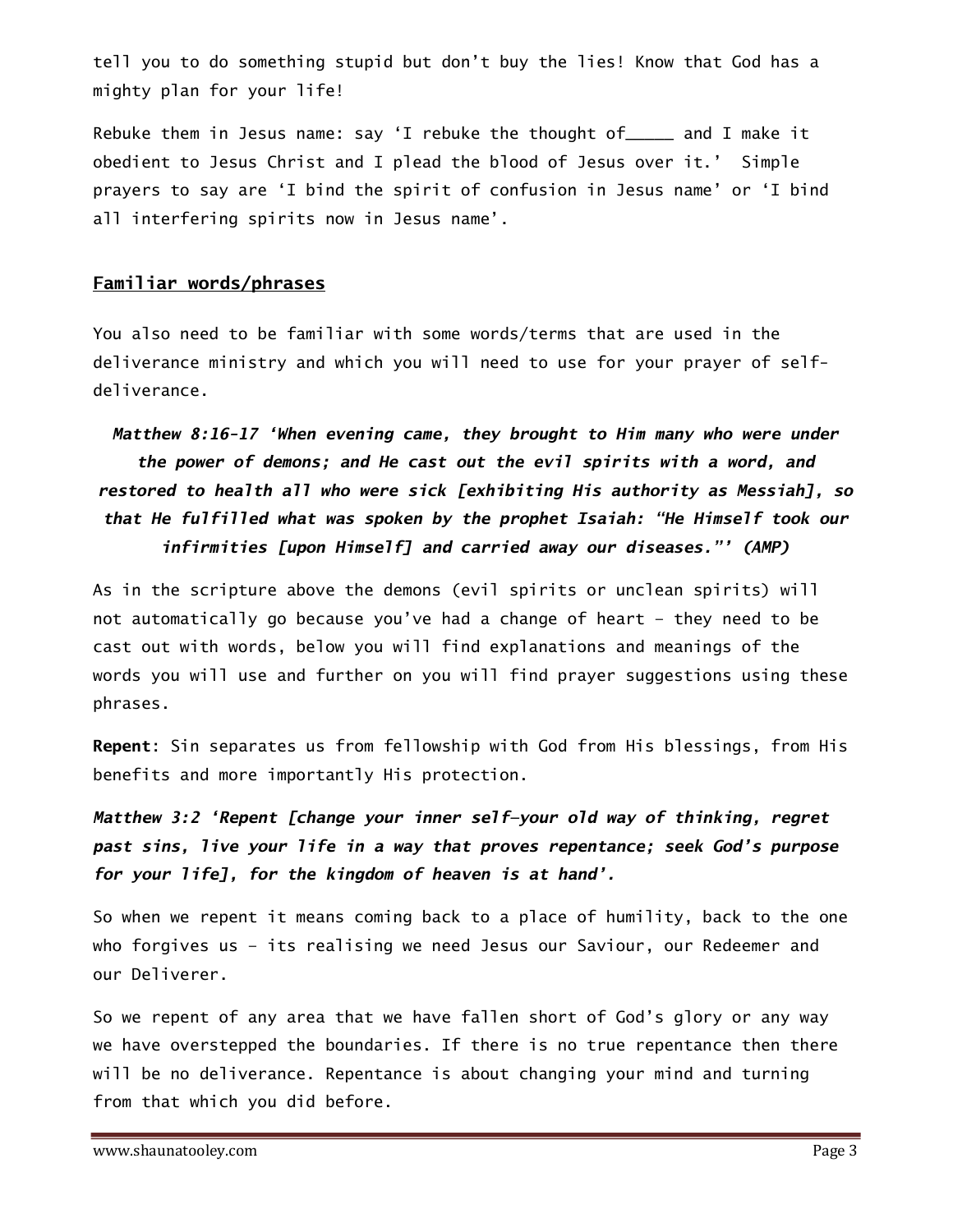tell you to do something stupid but don't buy the lies! Know that God has a mighty plan for your life!

Rebuke them in Jesus name: say 'I rebuke the thought of\_\_\_\_\_ and I make it obedient to Jesus Christ and I plead the blood of Jesus over it.' Simple prayers to say are 'I bind the spirit of confusion in Jesus name' or 'I bind all interfering spirits now in Jesus name'.

#### Familiar words/phrases

You also need to be familiar with some words/terms that are used in the deliverance ministry and which you will need to use for your prayer of selfdeliverance.

Matthew 8:16-17 'When evening came, they brought to Him many who were under the power of demons; and He cast out the evil spirits with a word, and restored to health all who were sick [exhibiting His authority as Messiah], so that He fulfilled what was spoken by the prophet Isaiah: "He Himself took our infirmities [upon Himself] and carried away our diseases."' (AMP)

As in the scripture above the demons (evil spirits or unclean spirits) will not automatically go because you've had a change of heart – they need to be cast out with words, below you will find explanations and meanings of the words you will use and further on you will find prayer suggestions using these phrases.

Repent: Sin separates us from fellowship with God from His blessings, from His benefits and more importantly His protection.

Matthew 3:2 'Repent [change your inner self—your old way of thinking, regret past sins, live your life in a way that proves repentance; seek God's purpose for your life], for the kingdom of heaven is at hand'.

So when we repent it means coming back to a place of humility, back to the one who forgives us – its realising we need Jesus our Saviour, our Redeemer and our Deliverer.

So we repent of any area that we have fallen short of God's glory or any way we have overstepped the boundaries. If there is no true repentance then there will be no deliverance. Repentance is about changing your mind and turning from that which you did before.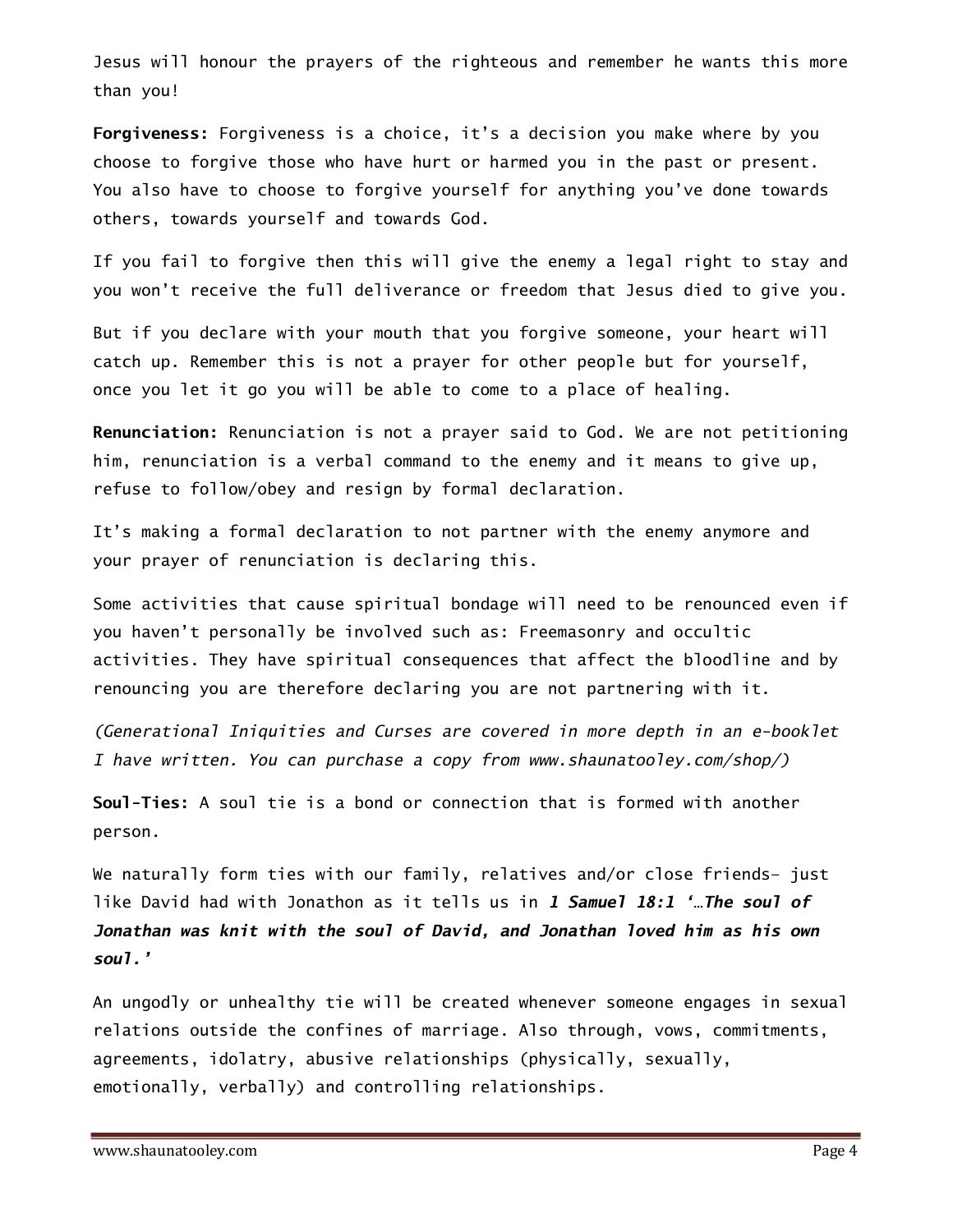Jesus will honour the prayers of the righteous and remember he wants this more than you!

Forgiveness: Forgiveness is a choice, it's a decision you make where by you choose to forgive those who have hurt or harmed you in the past or present. You also have to choose to forgive yourself for anything you've done towards others, towards yourself and towards God.

If you fail to forgive then this will give the enemy a legal right to stay and you won't receive the full deliverance or freedom that Jesus died to give you.

But if you declare with your mouth that you forgive someone, your heart will catch up. Remember this is not a prayer for other people but for yourself, once you let it go you will be able to come to a place of healing.

Renunciation: Renunciation is not a prayer said to God. We are not petitioning him, renunciation is a verbal command to the enemy and it means to give up, refuse to follow/obey and resign by formal declaration.

It's making a formal declaration to not partner with the enemy anymore and your prayer of renunciation is declaring this.

Some activities that cause spiritual bondage will need to be renounced even if you haven't personally be involved such as: Freemasonry and occultic activities. They have spiritual consequences that affect the bloodline and by renouncing you are therefore declaring you are not partnering with it.

(Generational Iniquities and Curses are covered in more depth in an e-booklet I have written. You can purchase a copy from www.shaunatooley.com/shop/)

Soul-Ties: A soul tie is a bond or connection that is formed with another person.

We naturally form ties with our family, relatives and/or close friends– just like David had with Jonathon as it tells us in 1 Samuel 18:1 '... The soul of Jonathan was knit with the soul of David, and Jonathan loved him as his own soul.'

An ungodly or unhealthy tie will be created whenever someone engages in sexual relations outside the confines of marriage. Also through, vows, commitments, agreements, idolatry, abusive relationships (physically, sexually, emotionally, verbally) and controlling relationships.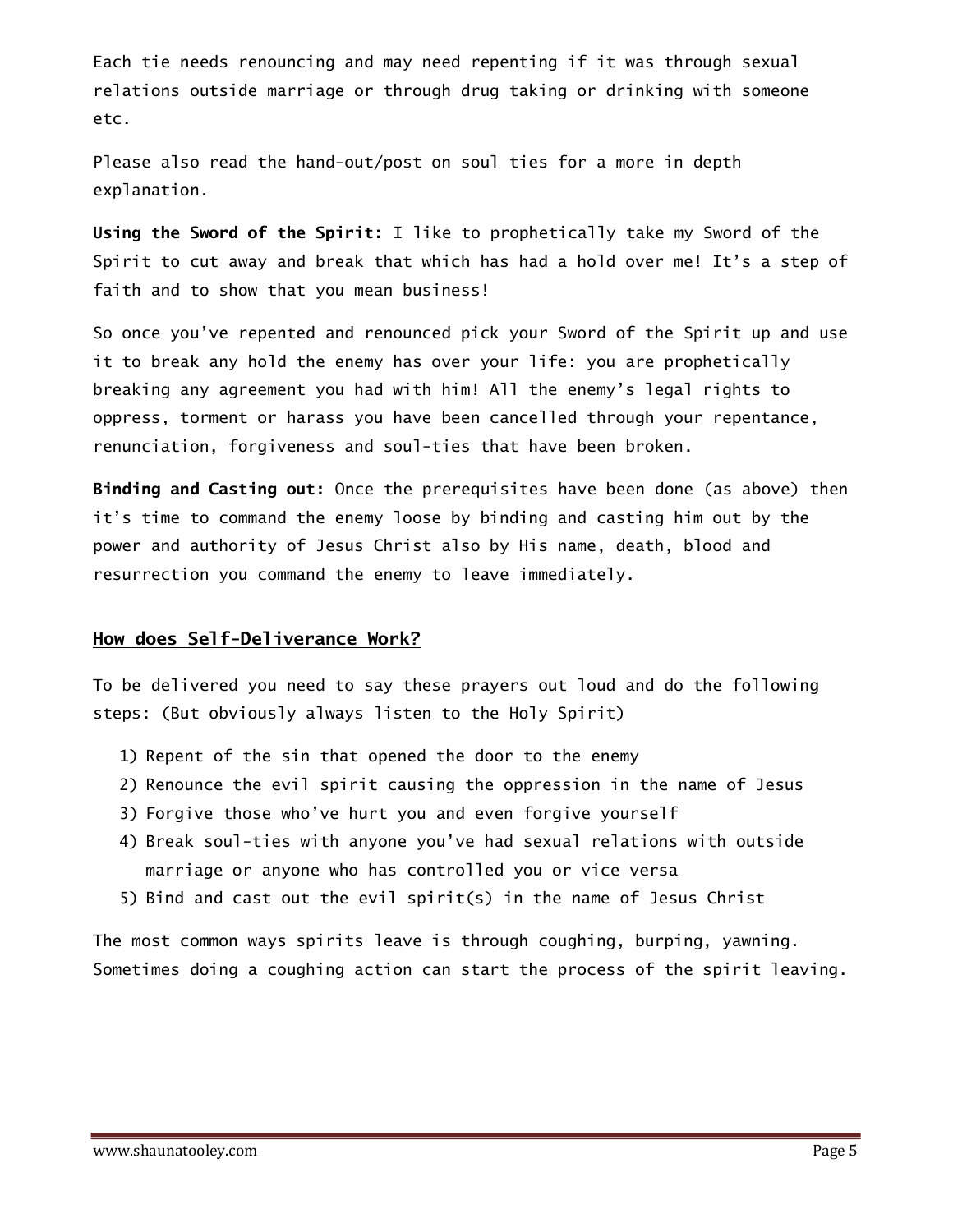Each tie needs renouncing and may need repenting if it was through sexual relations outside marriage or through drug taking or drinking with someone etc.

Please also read the hand-out/post on soul ties for a more in depth explanation.

Using the Sword of the Spirit: I like to prophetically take my Sword of the Spirit to cut away and break that which has had a hold over me! It's a step of faith and to show that you mean business!

So once you've repented and renounced pick your Sword of the Spirit up and use it to break any hold the enemy has over your life: you are prophetically breaking any agreement you had with him! All the enemy's legal rights to oppress, torment or harass you have been cancelled through your repentance, renunciation, forgiveness and soul-ties that have been broken.

Binding and Casting out: Once the prerequisites have been done (as above) then it's time to command the enemy loose by binding and casting him out by the power and authority of Jesus Christ also by His name, death, blood and resurrection you command the enemy to leave immediately.

#### How does Self-Deliverance Work?

To be delivered you need to say these prayers out loud and do the following steps: (But obviously always listen to the Holy Spirit)

- 1) Repent of the sin that opened the door to the enemy
- 2) Renounce the evil spirit causing the oppression in the name of Jesus
- 3) Forgive those who've hurt you and even forgive yourself
- 4) Break soul-ties with anyone you've had sexual relations with outside marriage or anyone who has controlled you or vice versa
- 5) Bind and cast out the evil spirit(s) in the name of Jesus Christ

The most common ways spirits leave is through coughing, burping, yawning. Sometimes doing a coughing action can start the process of the spirit leaving.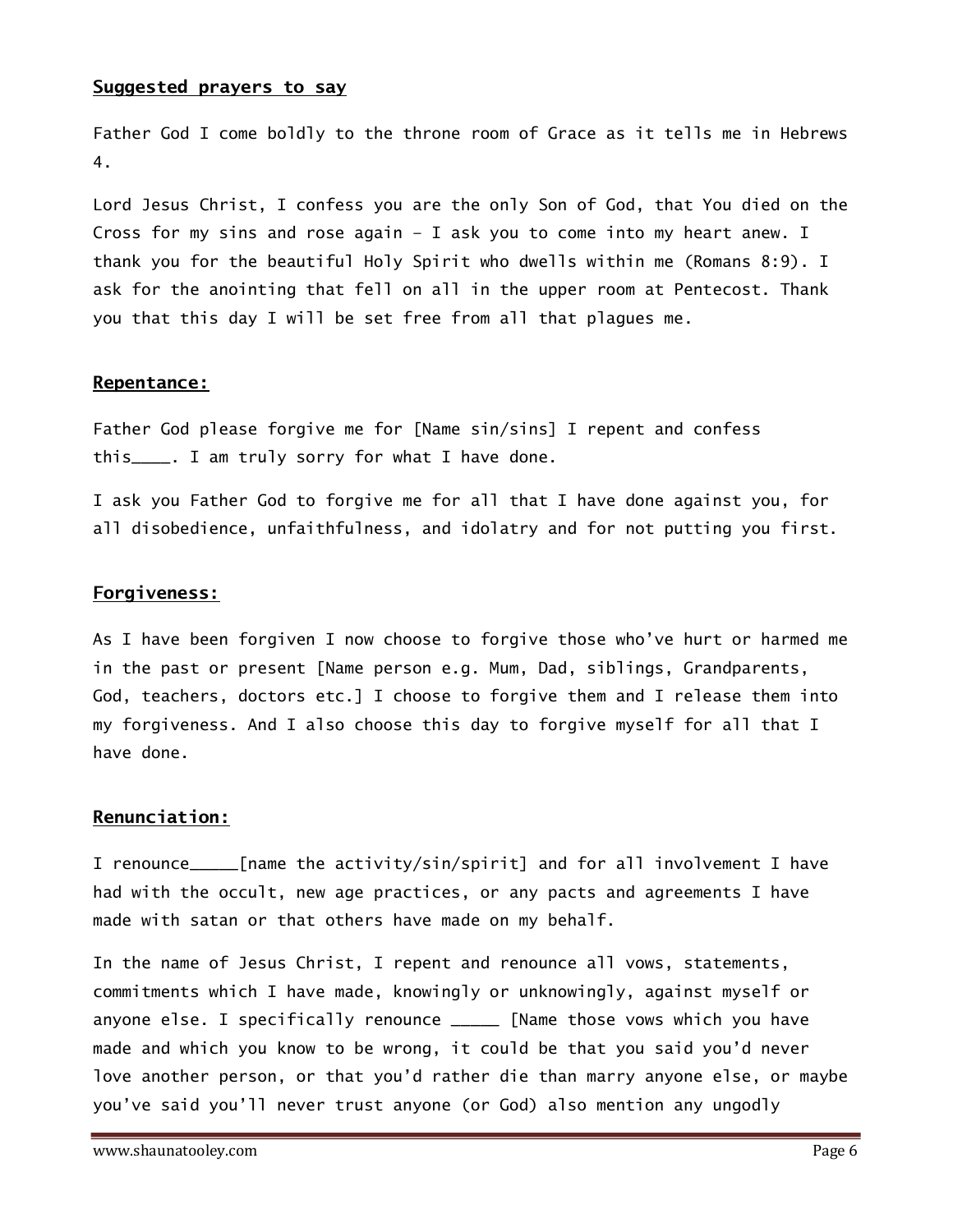#### Suggested prayers to say

Father God I come boldly to the throne room of Grace as it tells me in Hebrews 4.

Lord Jesus Christ, I confess you are the only Son of God, that You died on the Cross for my sins and rose again – I ask you to come into my heart anew. I thank you for the beautiful Holy Spirit who dwells within me (Romans 8:9). I ask for the anointing that fell on all in the upper room at Pentecost. Thank you that this day I will be set free from all that plagues me.

#### Repentance:

Father God please forgive me for [Name sin/sins] I repent and confess this\_\_\_\_. I am truly sorry for what I have done.

I ask you Father God to forgive me for all that I have done against you, for all disobedience, unfaithfulness, and idolatry and for not putting you first.

#### Forgiveness:

As I have been forgiven I now choose to forgive those who've hurt or harmed me in the past or present [Name person e.g. Mum, Dad, siblings, Grandparents, God, teachers, doctors etc.] I choose to forgive them and I release them into my forgiveness. And I also choose this day to forgive myself for all that I have done.

#### Renunciation:

I renounce\_\_\_\_\_[name the activity/sin/spirit] and for all involvement I have had with the occult, new age practices, or any pacts and agreements I have made with satan or that others have made on my behalf.

In the name of Jesus Christ, I repent and renounce all vows, statements, commitments which I have made, knowingly or unknowingly, against myself or anyone else. I specifically renounce \_\_\_\_\_ [Name those vows which you have made and which you know to be wrong, it could be that you said you'd never love another person, or that you'd rather die than marry anyone else, or maybe you've said you'll never trust anyone (or God) also mention any ungodly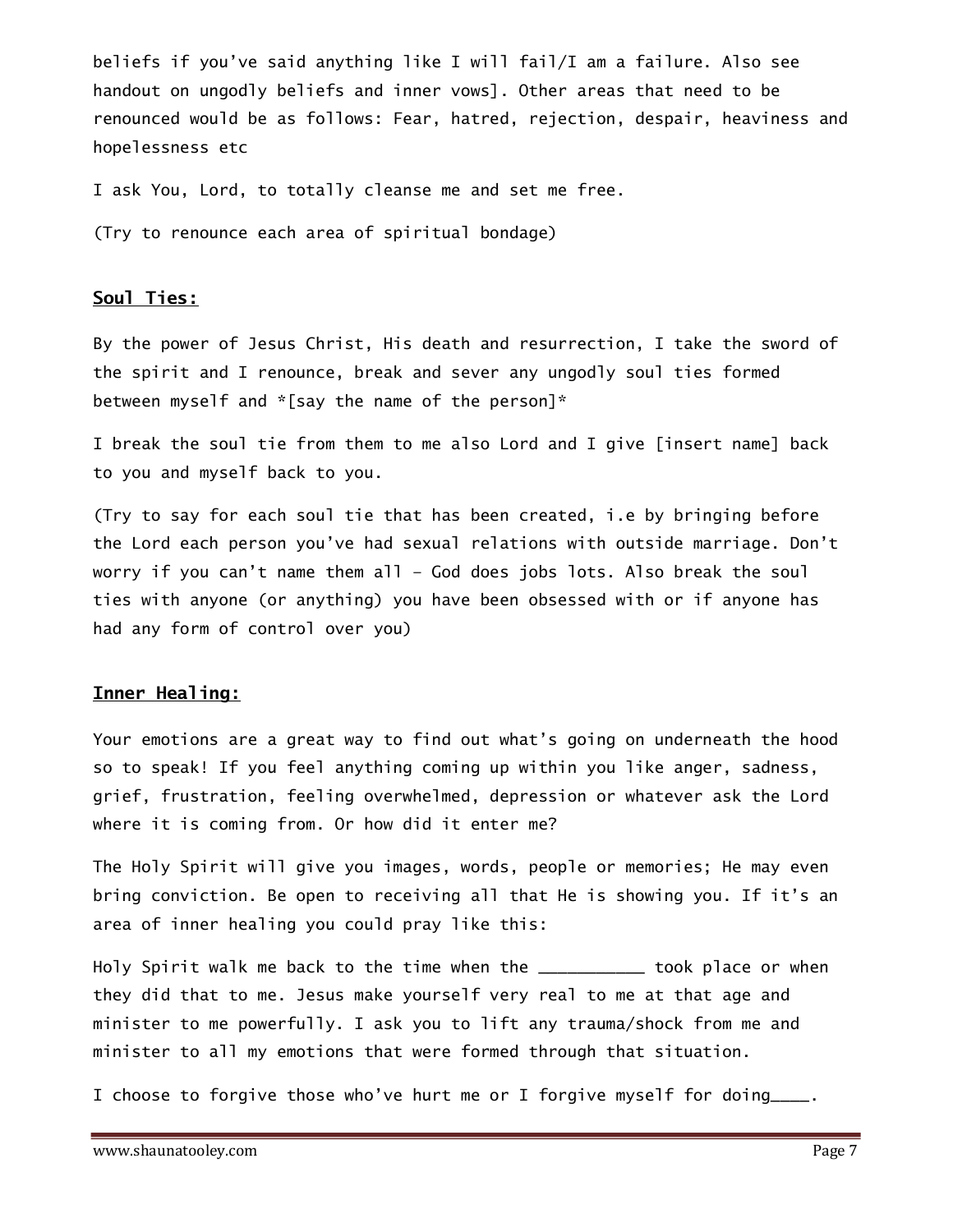beliefs if you've said anything like I will fail/I am a failure. Also see handout on ungodly beliefs and inner vows]. Other areas that need to be renounced would be as follows: Fear, hatred, rejection, despair, heaviness and hopelessness etc

I ask You, Lord, to totally cleanse me and set me free.

(Try to renounce each area of spiritual bondage)

#### Soul Ties:

By the power of Jesus Christ, His death and resurrection, I take the sword of the spirit and I renounce, break and sever any ungodly soul ties formed between myself and \*[say the name of the person]\*

I break the soul tie from them to me also Lord and I give [insert name] back to you and myself back to you.

(Try to say for each soul tie that has been created, i.e by bringing before the Lord each person you've had sexual relations with outside marriage. Don't worry if you can't name them all – God does jobs lots. Also break the soul ties with anyone (or anything) you have been obsessed with or if anyone has had any form of control over you)

#### Inner Healing:

Your emotions are a great way to find out what's going on underneath the hood so to speak! If you feel anything coming up within you like anger, sadness, grief, frustration, feeling overwhelmed, depression or whatever ask the Lord where it is coming from. Or how did it enter me?

The Holy Spirit will give you images, words, people or memories; He may even bring conviction. Be open to receiving all that He is showing you. If it's an area of inner healing you could pray like this:

Holy Spirit walk me back to the time when the \_\_\_\_\_\_\_\_\_\_\_ took place or when they did that to me. Jesus make yourself very real to me at that age and minister to me powerfully. I ask you to lift any trauma/shock from me and minister to all my emotions that were formed through that situation.

I choose to forgive those who've hurt me or I forgive myself for doing.........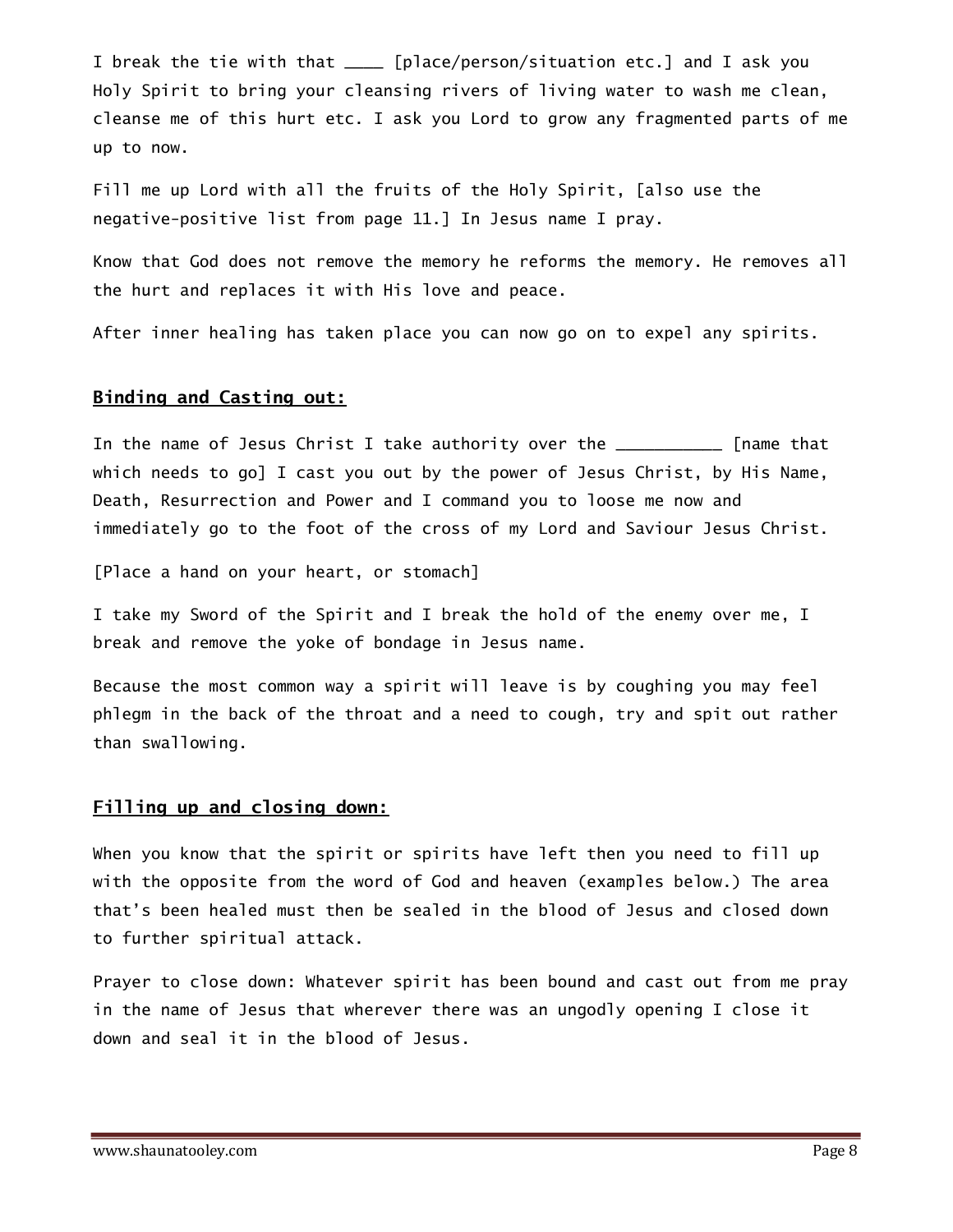I break the tie with that \_\_\_\_ [place/person/situation etc.] and I ask you Holy Spirit to bring your cleansing rivers of living water to wash me clean, cleanse me of this hurt etc. I ask you Lord to grow any fragmented parts of me up to now.

Fill me up Lord with all the fruits of the Holy Spirit, [also use the negative-positive list from page 11.] In Jesus name I pray.

Know that God does not remove the memory he reforms the memory. He removes all the hurt and replaces it with His love and peace.

After inner healing has taken place you can now go on to expel any spirits.

#### Binding and Casting out:

In the name of Jesus Christ I take authority over the \_\_\_\_\_\_\_\_\_\_\_ [name that which needs to go] I cast you out by the power of Jesus Christ, by His Name, Death, Resurrection and Power and I command you to loose me now and immediately go to the foot of the cross of my Lord and Saviour Jesus Christ.

[Place a hand on your heart, or stomach]

I take my Sword of the Spirit and I break the hold of the enemy over me, I break and remove the yoke of bondage in Jesus name.

Because the most common way a spirit will leave is by coughing you may feel phlegm in the back of the throat and a need to cough, try and spit out rather than swallowing.

#### Filling up and closing down:

When you know that the spirit or spirits have left then you need to fill up with the opposite from the word of God and heaven (examples below.) The area that's been healed must then be sealed in the blood of Jesus and closed down to further spiritual attack.

Prayer to close down: Whatever spirit has been bound and cast out from me pray in the name of Jesus that wherever there was an ungodly opening I close it down and seal it in the blood of Jesus.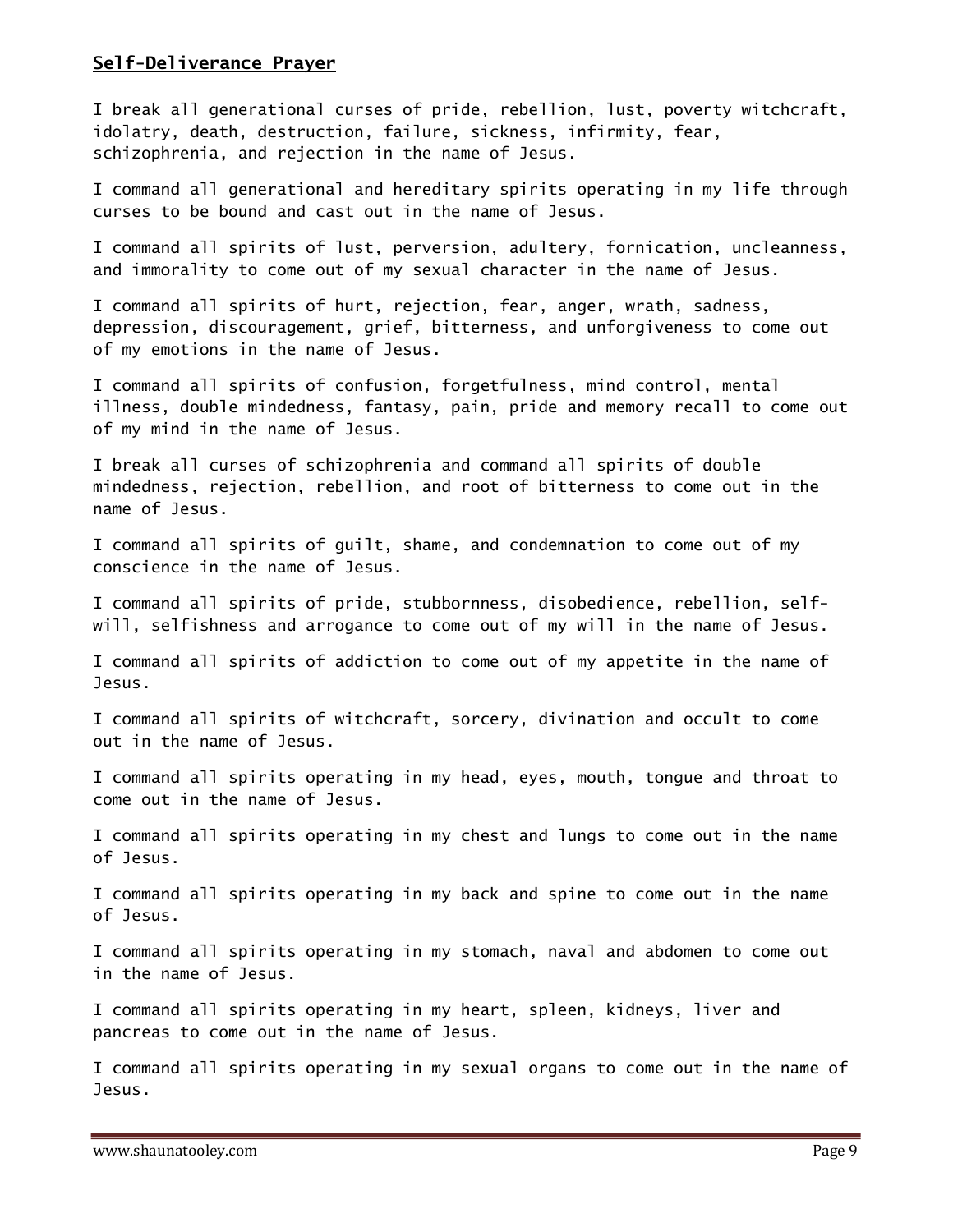#### Self-Deliverance Prayer

I break all generational curses of pride, rebellion, lust, poverty witchcraft, idolatry, death, destruction, failure, sickness, infirmity, fear, schizophrenia, and rejection in the name of Jesus.

I command all generational and hereditary spirits operating in my life through curses to be bound and cast out in the name of Jesus.

I command all spirits of lust, perversion, adultery, fornication, uncleanness, and immorality to come out of my sexual character in the name of Jesus.

I command all spirits of hurt, rejection, fear, anger, wrath, sadness, depression, discouragement, grief, bitterness, and unforgiveness to come out of my emotions in the name of Jesus.

I command all spirits of confusion, forgetfulness, mind control, mental illness, double mindedness, fantasy, pain, pride and memory recall to come out of my mind in the name of Jesus.

I break all curses of schizophrenia and command all spirits of double mindedness, rejection, rebellion, and root of bitterness to come out in the name of Jesus.

I command all spirits of guilt, shame, and condemnation to come out of my conscience in the name of Jesus.

I command all spirits of pride, stubbornness, disobedience, rebellion, selfwill, selfishness and arrogance to come out of my will in the name of Jesus.

I command all spirits of addiction to come out of my appetite in the name of Jesus.

I command all spirits of witchcraft, sorcery, divination and occult to come out in the name of Jesus.

I command all spirits operating in my head, eyes, mouth, tongue and throat to come out in the name of Jesus.

I command all spirits operating in my chest and lungs to come out in the name of Jesus.

I command all spirits operating in my back and spine to come out in the name of Jesus.

I command all spirits operating in my stomach, naval and abdomen to come out in the name of Jesus.

I command all spirits operating in my heart, spleen, kidneys, liver and pancreas to come out in the name of Jesus.

I command all spirits operating in my sexual organs to come out in the name of Jesus.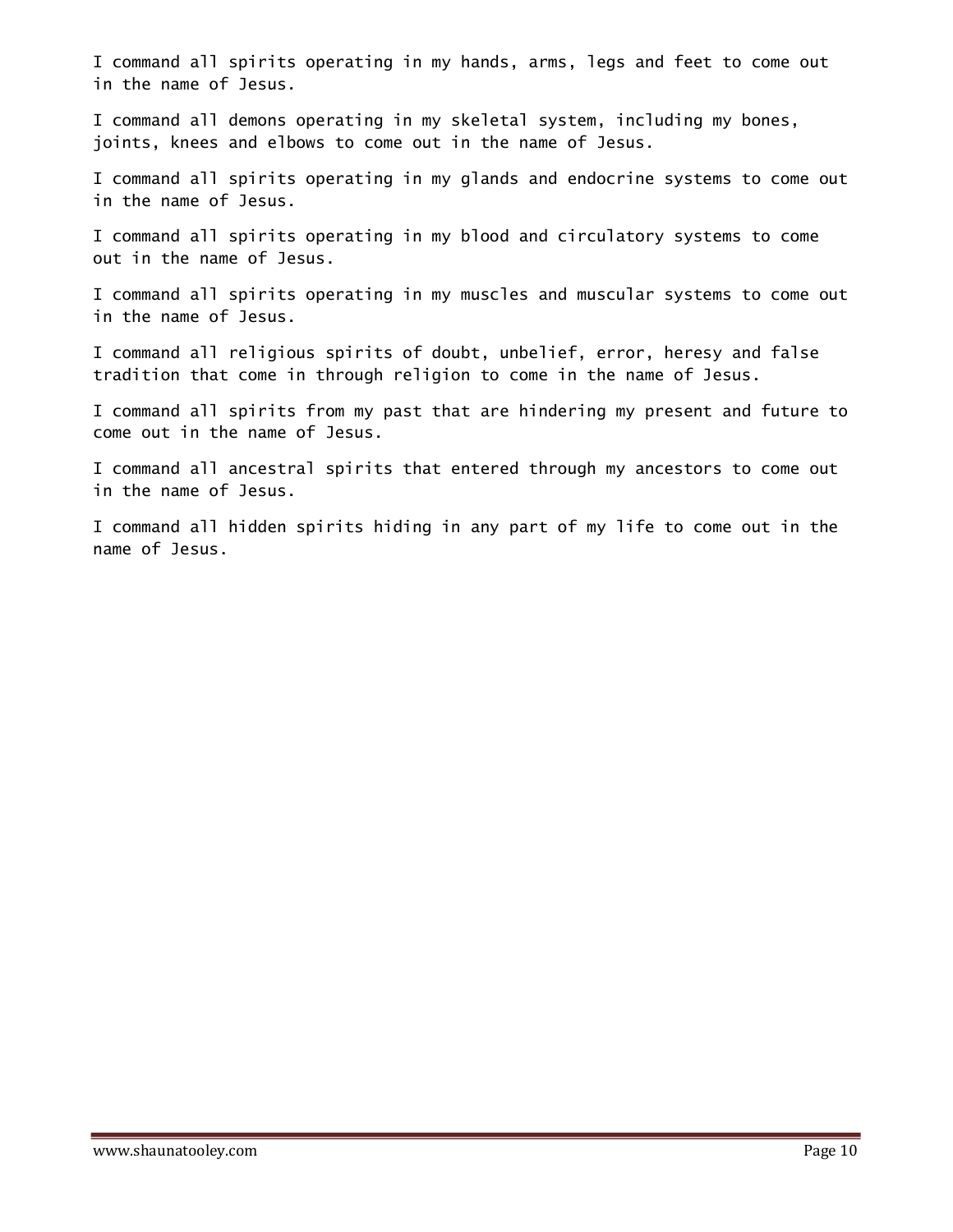I command all spirits operating in my hands, arms, legs and feet to come out in the name of Jesus.

I command all demons operating in my skeletal system, including my bones, joints, knees and elbows to come out in the name of Jesus.

I command all spirits operating in my glands and endocrine systems to come out in the name of Jesus.

I command all spirits operating in my blood and circulatory systems to come out in the name of Jesus.

I command all spirits operating in my muscles and muscular systems to come out in the name of Jesus.

I command all religious spirits of doubt, unbelief, error, heresy and false tradition that come in through religion to come in the name of Jesus.

I command all spirits from my past that are hindering my present and future to come out in the name of Jesus.

I command all ancestral spirits that entered through my ancestors to come out in the name of Jesus.

I command all hidden spirits hiding in any part of my life to come out in the name of Jesus.